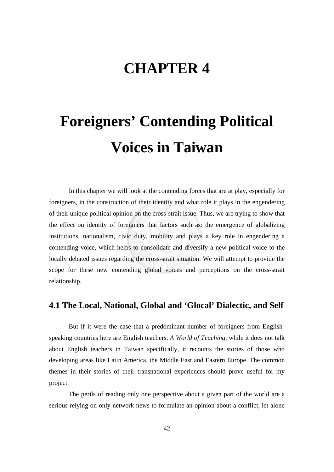# **CHAPTER 4**

# **Foreigners' Contending Political Voices in Taiwan**

In this chapter we will look at the contending forces that are at play, especially for foreigners, in the construction of their identity and what role it plays in the engendering of their unique political opinion on the cross-strait issue. Thus, we are trying to show that the effect on identity of foreigners that factors such as: the emergence of globalizing institutions, nationalism, civic duty, mobility and plays a key role in engendering a contending voice, which helps to consolidate and diversify a new political voice to the locally debated issues regarding the cross-strait situation. We will attempt to provide the scope for these new contending global voices and perceptions on the cross-strait relationship.

## **4.1 The Local, National, Global and 'Glocal' Dialectic, and Self**

But if it were the case that a predominant number of foreigners from Englishspeaking countries here are English teachers, *A World of Teaching*, while it does not talk about English teachers in Taiwan specifically, it recounts the stories of those who developing areas like Latin America, the Middle East and Eastern Europe. The common themes in their stories of their transnational experiences should prove useful for my project.

The perils of reading only one perspective about a given part of the world are a serious relying on only network news to formulate an opinion about a conflict, let alone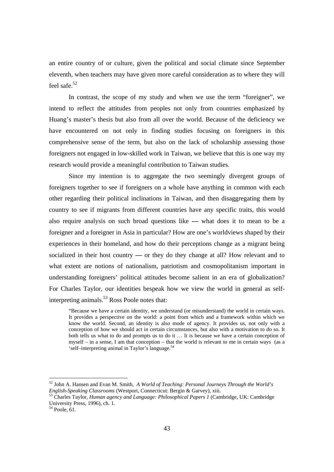an entire country of or culture, given the political and social climate since September eleventh, when teachers may have given more careful consideration as to where they will feel safe.<sup>52</sup>

In contrast, the scope of my study and when we use the term "foreigner", we intend to reflect the attitudes from peoples not only from countries emphasized by Huang's master's thesis but also from all over the world. Because of the deficiency we have encountered on not only in finding studies focusing on foreigners in this comprehensive sense of the term, but also on the lack of scholarship assessing those foreigners not engaged in low-skilled work in Taiwan, we believe that this is one way my research would provide a meaningful contribution to Taiwan studies.

Since my intention is to aggregate the two seemingly divergent groups of foreigners together to see if foreigners on a whole have anything in common with each other regarding their political inclinations in Taiwan, and then disaggregating them by country to see if migrants from different countries have any specific traits, this would also require analysis on such broad questions like **—** what does it to mean to be a foreigner and a foreigner in Asia in particular? How are one's worldviews shaped by their experiences in their homeland, and how do their perceptions change as a migrant being socialized in their host country **—** or they do they change at all? How relevant and to what extent are notions of nationalism, patriotism and cosmopolitanism important in understanding foreigners' political attitudes become salient in an era of globalization? For Charles Taylor, our identities bespeak how we view the world in general as selfinterpreting animals. $53$  Ross Poole notes that:

"Because we have a certain identity, we understand (or misunderstand) the world in certain ways. It provides a perspective on the world: a point from which and a framework within which we know the world. Second, an identity is also mode of agency. It provides us, not only with a conception of how we should act in certain circumstances, but also with a motivation to do so. It both tells us what to do and prompts us to do it … It is because we have a certain conception of myself – in a sense, I am that conception – that the world is relevant to me in certain ways (as a 'self–interpreting animal in Taylor's language.54

<sup>&</sup>lt;sup>52</sup> John A. Hansen and Evan M. Smith, *A World of Teaching: Personal Journeys Through the World's English-Speaking Classrooms (Westport, Connecticut: Bergin & Garvey), xiii.* 

<sup>&</sup>lt;sup>53</sup> Charles Taylor, *Human agency and Language: Philosophical Papers 1* (Cambridge, UK: Cambridge University Press, 1996), ch. 1.

 $54$  Poole, 61.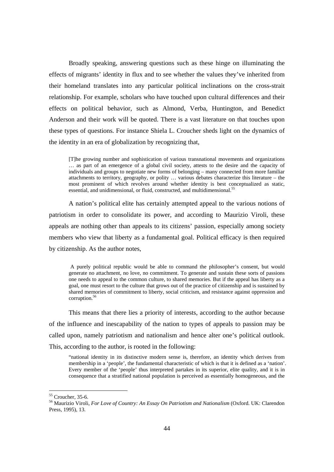Broadly speaking, answering questions such as these hinge on illuminating the effects of migrants' identity in flux and to see whether the values they've inherited from their homeland translates into any particular political inclinations on the cross-strait relationship. For example, scholars who have touched upon cultural differences and their effects on political behavior, such as Almond, Verba, Huntington, and Benedict Anderson and their work will be quoted. There is a vast literature on that touches upon these types of questions. For instance Shiela L. Croucher sheds light on the dynamics of the identity in an era of globalization by recognizing that,

[T]he growing number and sophistication of various transnational movements and organizations … as part of an emergence of a global civil society, attests to the desire and the capacity of individuals and groups to negotiate new forms of belonging – many connected from more familiar attachments to territory, geography, or polity … various debates characterize this literature – the most prominent of which revolves around whether identity is best conceptualized as static, essential, and unidimensional, or fluid, constructed, and multidimensional.<sup>55</sup>

A nation's political elite has certainly attempted appeal to the various notions of patriotism in order to consolidate its power, and according to Maurizio Viroli, these appeals are nothing other than appeals to its citizens' passion, especially among society members who view that liberty as a fundamental goal. Political efficacy is then required by citizenship. As the author notes,

A purely political republic would be able to command the philosopher's consent, but would generate no attachment, no love, no commitment. To generate and sustain these sorts of passions one needs to appeal to the common culture, to shared memories. But if the appeal has liberty as a goal, one must resort to the culture that grows out of the practice of citizenship and is sustained by shared memories of commitment to liberty, social criticism, and resistance against oppression and corruption.<sup>56</sup>

This means that there lies a priority of interests, according to the author because of the influence and inescapability of the nation to types of appeals to passion may be called upon, namely patriotism and nationalism and hence alter one's political outlook. This, according to the author, is rooted in the following:

"national identity in its distinctive modern sense is, therefore, an identity which derives from membership in a 'people', the fundamental characteristic of which is that it is defined as a 'nation'. Every member of the 'people' thus interpreted partakes in its superior, elite quality, and it is in consequence that a stratified national population is perceived as essentially homogeneous, and the

<sup>55</sup> Croucher, 35-6.

<sup>56</sup> Maurizio Viroli, *For Love of Country: An Essay On Patriotism and Nationalism* (Oxford. UK: Clarendon Press, 1995), 13.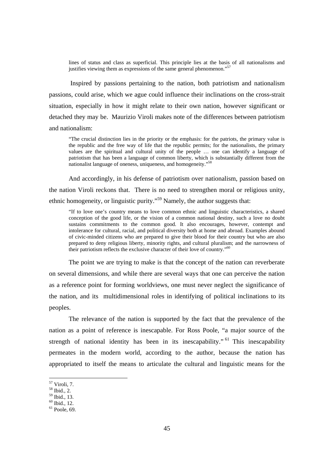lines of status and class as superficial. This principle lies at the basis of all nationalisms and justifies viewing them as expressions of the same general phenomenon."<sup>57</sup>

 Inspired by passions pertaining to the nation, both patriotism and nationalism passions, could arise, which we ague could influence their inclinations on the cross-strait situation, especially in how it might relate to their own nation, however significant or detached they may be. Maurizio Viroli makes note of the differences between patriotism and nationalism:

"The crucial distinction lies in the priority or the emphasis: for the patriots, the primary value is the republic and the free way of life that the republic permits; for the nationalists, the primary values are the spiritual and cultural unity of the people … one can identify a language of patriotism that has been a language of common liberty, which is substantially different from the nationalist language of oneness, uniqueness, and homogeneity."58

And accordingly, in his defense of patriotism over nationalism, passion based on the nation Viroli reckons that. There is no need to strengthen moral or religious unity, ethnic homogeneity, or linguistic purity."59 Namely, the author suggests that:

"If to love one's country means to love common ethnic and linguistic characteristics, a shared conception of the good life, or the vision of a common national destiny, such a love no doubt sustains commitments to the common good. It also encourages, however, contempt and intolerance for cultural, racial, and political diversity both at home and abroad. Examples abound of civic-minded citizens who are prepared to give their blood for their country but who are also prepared to deny religious liberty, minority rights, and cultural pluralism; and the narrowness of their patriotism reflects the exclusive character of their love of country."<sup>60</sup>

The point we are trying to make is that the concept of the nation can reverberate on several dimensions, and while there are several ways that one can perceive the nation as a reference point for forming worldviews, one must never neglect the significance of the nation, and its multidimensional roles in identifying of political inclinations to its peoples.

The relevance of the nation is supported by the fact that the prevalence of the nation as a point of reference is inescapable. For Ross Poole, "a major source of the strength of national identity has been in its inescapability."<sup>61</sup> This inescapability permeates in the modern world, according to the author, because the nation has appropriated to itself the means to articulate the cultural and linguistic means for the

<sup>57</sup> Viroli, 7.

<sup>58</sup> Ibid., 2.

<sup>59</sup> Ibid., 13.  $60$  Ibid., 12.

 $61$  Poole, 69.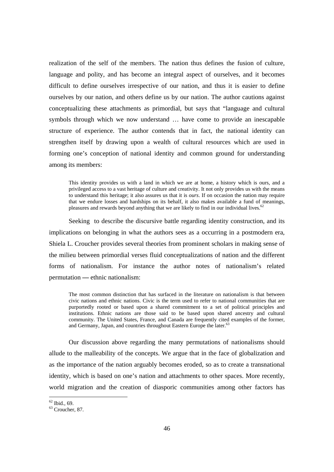realization of the self of the members. The nation thus defines the fusion of culture, language and polity, and has become an integral aspect of ourselves, and it becomes difficult to define ourselves irrespective of our nation, and thus it is easier to define ourselves by our nation, and others define us by our nation. The author cautions against conceptualizing these attachments as primordial, but says that "language and cultural symbols through which we now understand … have come to provide an inescapable structure of experience. The author contends that in fact, the national identity can strengthen itself by drawing upon a wealth of cultural resources which are used in forming one's conception of national identity and common ground for understanding among its members:

This identity provides us with a land in which we are at home, a history which is ours, and a privileged access to a vast heritage of culture and creativity. It not only provides us with the means to understand this heritage; it also assures us that it is *ours*. If on occasion the nation may require that we endure losses and hardships on its behalf, it also makes available a fund of meanings, pleasures and rewards beyond anything that we are likely to find in our individual lives.<sup>6</sup>

Seeking to describe the discursive battle regarding identity construction, and its implications on belonging in what the authors sees as a occurring in a postmodern era, Shiela L. Croucher provides several theories from prominent scholars in making sense of the milieu between primordial verses fluid conceptualizations of nation and the different forms of nationalism. For instance the author notes of nationalism's related permutation **—** ethnic nationalism:

The most common distinction that has surfaced in the literature on nationalism is that between civic nations and ethnic nations. Civic is the term used to refer to national communities that are purportedly rooted or based upon a shared commitment to a set of political principles and institutions. Ethnic nations are those said to be based upon shared ancestry and cultural community. The United States, France, and Canada are frequently cited examples of the former, and Germany, Japan, and countries throughout Eastern Europe the later.<sup>63</sup>

Our discussion above regarding the many permutations of nationalisms should allude to the malleability of the concepts. We argue that in the face of globalization and as the importance of the nation arguably becomes eroded, so as to create a transnational identity, which is based on one's nation and attachments to other spaces. More recently, world migration and the creation of diasporic communities among other factors has

 $62$  Ibid., 69.

<sup>63</sup> Croucher, 87.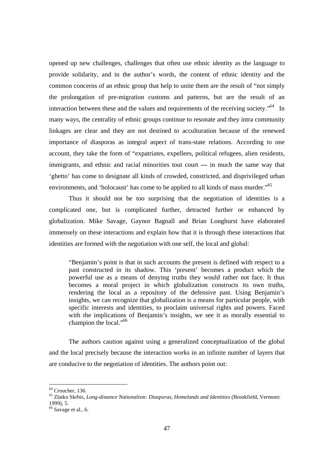opened up new challenges, challenges that often use ethnic identity as the language to provide solidarity, and in the author's words, the content of ethnic identity and the common concerns of an ethnic group that help to unite them are the result of "not simply the prolongation of pre-migration customs and patterns, but are the result of an interaction between these and the values and requirements of the receiving society.<sup>"64</sup> In many ways, the centrality of ethnic groups continue to resonate and they intra community linkages are clear and they are not destined to acculturation because of the renewed importance of diasporas as integral aspect of trans-state relations. According to one account, they take the form of "expatriates, expellees, political refugees, alien residents, immigrants, and ethnic and racial minorities tout court **—** in much the same way that 'ghetto' has come to designate all kinds of crowded, constricted, and disprivileged urban environments, and 'holocaust' has come to be applied to all kinds of mass murder."<sup>65</sup>

 Thus it should not be too surprising that the negotiation of identities is a complicated one, but is complicated further, detracted further or enhanced by globalization. Mike Savage, Gaynor Bagnall and Brian Longhurst have elaborated immensely on these interactions and explain how that it is through these interactions that identities are formed with the negotiation with one self, the local and global:

"Benjamin's point is that in such accounts the present is defined with respect to a past constructed in its shadow. This 'present' becomes a product which the powerful use as a means of denying truths they would rather not face. It thus becomes a moral project in which globalization constructs its own truths, rendering the local as a repository of the defensive past. Using Benjamin's insights, we can recognize that globalization is a means for particular people, with specific interests and identities, to proclaim universal rights and powers. Faced with the implications of Benjamin's insights, we see it as morally essential to champion the local."<sup>66</sup>

The authors caution against using a generalized conceptualization of the global and the local precisely because the interaction works in an infinite number of layers that are conducive to the negotiation of identities. The authors point out:

 $64$  Croucher, 136.

<sup>65</sup> Zlatko Skrbis, *Long-distance Nationalism: Diasporas, Homelands and Identities* (Brookfield, Vermont: 1999), 5.

 $66$  Savage et al., 6.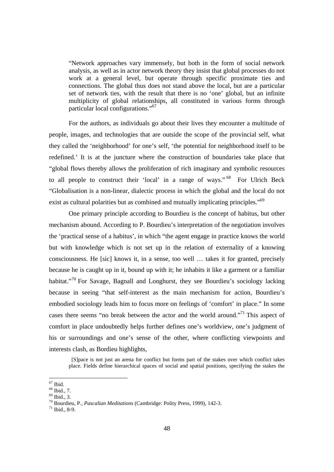"Network approaches vary immensely, but both in the form of social network analysis, as well as in actor network theory they insist that global processes do not work at a general level, but operate through specific proximate ties and connections. The global thus does not stand above the local, but are a particular set of network ties, with the result that there is no 'one' global, but an infinite multiplicity of global relationships, all constituted in various forms through particular local configurations."67

For the authors, as individuals go about their lives they encounter a multitude of people, images, and technologies that are outside the scope of the provincial self, what they called the 'neighborhood' for one's self, 'the potential for neighborhood itself to be redefined.' It is at the juncture where the construction of boundaries take place that "global flows thereby allows the proliferation of rich imaginary and symbolic resources to all people to construct their 'local' in a range of ways." <sup>68</sup> For Ulrich Beck "Globalisation is a non-linear, dialectic process in which the global and the local do not exist as cultural polarities but as combined and mutually implicating principles."69

One primary principle according to Bourdieu is the concept of habitus, but other mechanism abound. According to P. Bourdieu's interpretation of the negotiation involves the 'practical sense of a habitus', in which "the agent engage in practice knows the world but with knowledge which is not set up in the relation of externality of a knowing consciousness. He [sic] knows it, in a sense, too well … takes it for granted, precisely because he is caught up in it, bound up with it; he inhabits it like a garment or a familiar habitat."<sup>70</sup> For Savage, Bagnall and Longhurst, they see Bourdieu's sociology lacking because in seeing "that self-interest as the main mechanism for action, Bourdieu's embodied sociology leads him to focus more on feelings of 'comfort' in place." In some cases there seems "no break between the actor and the world around."71 This aspect of comfort in place undoubtedly helps further defines one's worldview, one's judgment of his or surroundings and one's sense of the other, where conflicting viewpoints and interests clash, as Bordieu highlights,

 [S]pace is not just an arena for conflict but forms part of the stakes over which conflict takes place. Fields define hierarchical spaces of social and spatial positions, specifying the stakes the

 $\overline{a}$  $67$  Ibid.

<sup>68</sup> Ibid., 7.

 $69$  Ibid., 3.

<sup>70</sup> Bourdieu, P., *Pascalian Meditations* (Cambridge: Polity Press, 1999), 142-3. 71 Ibid., 8-9.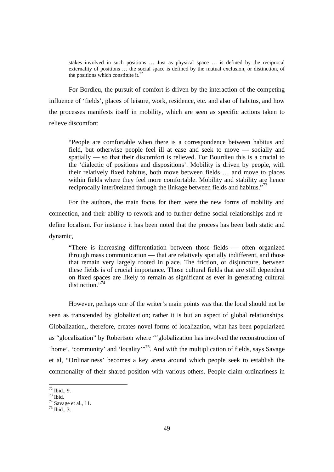stakes involved in such positions … Just as physical space … is defined by the reciprocal externality of positions … the social space is defined by the mutual exclusion, or distinction, of the positions which constitute it.<sup>72</sup>

For Bordieu, the pursuit of comfort is driven by the interaction of the competing influence of 'fields', places of leisure, work, residence, etc. and also of habitus, and how the processes manifests itself in mobility, which are seen as specific actions taken to relieve discomfort:

"People are comfortable when there is a correspondence between habitus and field, but otherwise people feel ill at ease and seek to move **—** socially and spatially **—** so that their discomfort is relieved. For Bourdieu this is a crucial to the 'dialectic of positions and dispositions'. Mobility is driven by people, with their relatively fixed habitus, both move between fields … and move to places within fields where they feel more comfortable. Mobility and stability are hence reciprocally inter0related through the linkage between fields and habitus."<sup>73</sup>

For the authors, the main focus for them were the new forms of mobility and connection, and their ability to rework and to further define social relationships and redefine localism. For instance it has been noted that the process has been both static and dynamic,

"There is increasing differentiation between those fields **—** often organized through mass communication **—** that are relatively spatially indifferent, and those that remain very largely rooted in place. The friction, or disjuncture, between these fields is of crucial importance. Those cultural fields that are still dependent on fixed spaces are likely to remain as significant as ever in generating cultural distinction. $^{7,74}$ 

However, perhaps one of the writer's main points was that the local should not be seen as transcended by globalization; rather it is but an aspect of global relationships. Globalization,, therefore, creates novel forms of localization, what has been popularized as "glocalization" by Robertson where "'globalization has involved the reconstruction of 'home', 'community' and 'locality'<sup>75</sup>. And with the multiplication of fields, says Savage et al, "Ordinariness' becomes a key arena around which people seek to establish the commonality of their shared position with various others. People claim ordinariness in

 $72$  Ibid., 9.

 $73$  Ibid.

 $74$  Savage et al., 11.

 $75$  Ibid., 3.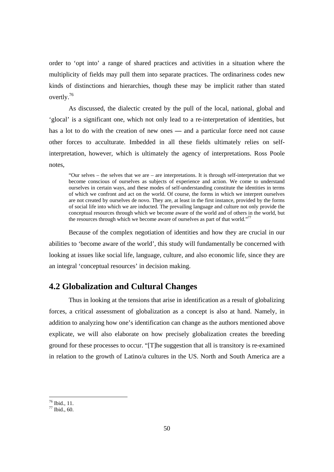order to 'opt into' a range of shared practices and activities in a situation where the multiplicity of fields may pull them into separate practices. The ordinariness codes new kinds of distinctions and hierarchies, though these may be implicit rather than stated overtly.76

 As discussed, the dialectic created by the pull of the local, national, global and 'glocal' is a significant one, which not only lead to a re-interpretation of identities, but has a lot to do with the creation of new ones **—** and a particular force need not cause other forces to acculturate. Imbedded in all these fields ultimately relies on selfinterpretation, however, which is ultimately the agency of interpretations. Ross Poole notes,

"Our selves – the selves that we are – are interpretations. It is through self-interpretation that we become conscious of ourselves as subjects of experience and action. We come to understand ourselves in certain ways, and these modes of self-understanding constitute the identities in terms of which we confront and act on the world. Of course, the forms in which we interpret ourselves are not created by ourselves de novo. They are, at least in the first instance, provided by the forms of social life into which we are inducted. The prevailing language and culture not only provide the conceptual resources through which we become aware of the world and of others in the world, but the resources through which we become aware of ourselves as part of that world."<sup>77</sup>

Because of the complex negotiation of identities and how they are crucial in our abilities to 'become aware of the world', this study will fundamentally be concerned with looking at issues like social life, language, culture, and also economic life, since they are an integral 'conceptual resources' in decision making.

#### **4.2 Globalization and Cultural Changes**

Thus in looking at the tensions that arise in identification as a result of globalizing forces, a critical assessment of globalization as a concept is also at hand. Namely, in addition to analyzing how one's identification can change as the authors mentioned above explicate, we will also elaborate on how precisely globalization creates the breeding ground for these processes to occur. "[T]he suggestion that all is transitory is re-examined in relation to the growth of Latino/a cultures in the US. North and South America are a

<sup>76</sup> Ibid., 11.

 $77$  Ibid., 60.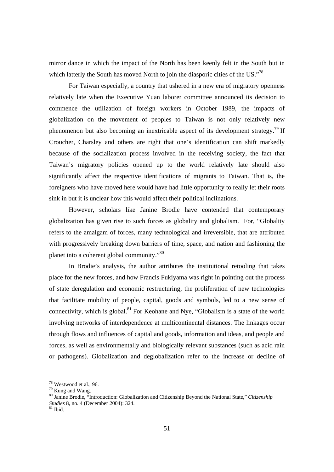mirror dance in which the impact of the North has been keenly felt in the South but in which latterly the South has moved North to join the diasporic cities of the US."<sup>78</sup>

For Taiwan especially, a country that ushered in a new era of migratory openness relatively late when the Executive Yuan laborer committee announced its decision to commence the utilization of foreign workers in October 1989, the impacts of globalization on the movement of peoples to Taiwan is not only relatively new phenomenon but also becoming an inextricable aspect of its development strategy.<sup>79</sup> If Croucher, Charsley and others are right that one's identification can shift markedly because of the socialization process involved in the receiving society, the fact that Taiwan's migratory policies opened up to the world relatively late should also significantly affect the respective identifications of migrants to Taiwan. That is, the foreigners who have moved here would have had little opportunity to really let their roots sink in but it is unclear how this would affect their political inclinations.

However, scholars like Janine Brodie have contended that contemporary globalization has given rise to such forces as globality and globalism. For, "Globality refers to the amalgam of forces, many technological and irreversible, that are attributed with progressively breaking down barriers of time, space, and nation and fashioning the planet into a coherent global community."80

In Brodie's analysis, the author attributes the institutional retooling that takes place for the new forces, and how Francis Fukiyama was right in pointing out the process of state deregulation and economic restructuring, the proliferation of new technologies that facilitate mobility of people, capital, goods and symbols, led to a new sense of connectivity, which is global. $81$  For Keohane and Nye, "Globalism is a state of the world involving networks of interdependence at multicontinental distances. The linkages occur through flows and influences of capital and goods, information and ideas, and people and forces, as well as environmentally and biologically relevant substances (such as acid rain or pathogens). Globalization and deglobalization refer to the increase or decline of

<sup>78</sup> Westwood et al., 96.

<sup>79</sup> Kung and Wang.

<sup>80</sup> Janine Brodie, "Introduction: Globalization and Citizenship Beyond the National State," *Citizenship Studies* 8, no. 4 (December 2004): 324.<br><sup>81</sup> Ibid.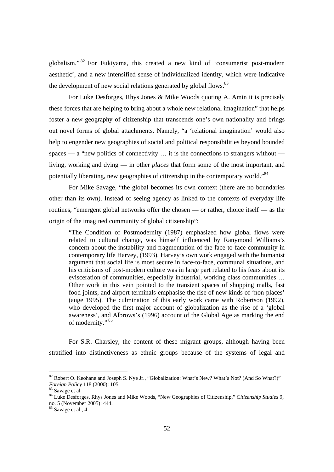globalism." 82 For Fukiyama, this created a new kind of 'consumerist post-modern aesthetic', and a new intensified sense of individualized identity, which were indicative the development of new social relations generated by global flows.<sup>83</sup>

For Luke Desforges, Rhys Jones & Mike Woods quoting A. Amin it is precisely these forces that are helping to bring about a whole new relational imagination" that helps foster a new geography of citizenship that transcends one's own nationality and brings out novel forms of global attachments. Namely, "a 'relational imagination' would also help to engender new geographies of social and political responsibilities beyond bounded spaces **—** a "new politics of connectivity … it is the connections to strangers without  living, working and dying **—** in other *places* that form some of the most important, and potentially liberating, new geographies of citizenship in the contemporary world."<sup>84</sup>

For Mike Savage, "the global becomes its own context (there are no boundaries other than its own). Instead of seeing agency as linked to the contexts of everyday life routines, "emergent global networks offer the chosen **—** or rather, choice itself **—** as the origin of the imagined community of global citizenship":

"The Condition of Postmodernity (1987) emphasized how global flows were related to cultural change, was himself influenced by Ranymond Williams's concern about the instability and fragmentation of the face-to-face community in contemporary life Harvey, (1993). Harvey's own work engaged with the humanist argument that social life is most secure in face-to-face, communal situations, and his criticisms of post-modern culture was in large part related to his fears about its evisceration of communities, especially industrial, working class communities … Other work in this vein pointed to the transient spaces of shopping malls, fast food joints, and airport terminals emphasise the rise of new kinds of 'non-places' (auge 1995). The culmination of this early work came with Robertson (1992), who developed the first major account of globalization as the rise of a 'global awareness', and Albrows's (1996) account of the Global Age as marking the end of modernity." 85

For S.R. Charsley, the content of these migrant groups, although having been stratified into distinctiveness as ethnic groups because of the systems of legal and

<sup>&</sup>lt;sup>82</sup> Robert O. Keohane and Joseph S. Nye Jr., "Globalization: What's New? What's Not? (And So What?)" *Foreign Policy* 118 (2000): 105.<br><sup>83</sup> Savage et al.

<sup>84</sup> Luke Desforges, Rhys Jones and Mike Woods, "New Geographies of Citizenship," *Citizenship Studies* 9, no. 5 (November 2005): 444.

<sup>&</sup>lt;sup>85</sup> Savage et al., 4.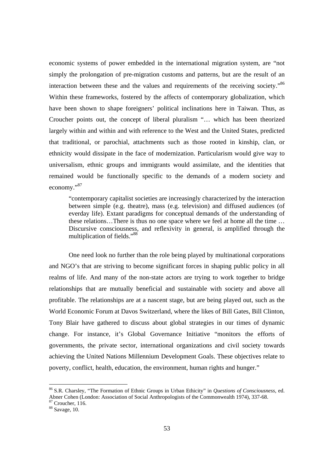economic systems of power embedded in the international migration system, are "not simply the prolongation of pre-migration customs and patterns, but are the result of an interaction between these and the values and requirements of the receiving society."<sup>86</sup> Within these frameworks, fostered by the affects of contemporary globalization, which have been shown to shape foreigners' political inclinations here in Taiwan. Thus, as Croucher points out, the concept of liberal pluralism "… which has been theorized largely within and within and with reference to the West and the United States, predicted that traditional, or parochial, attachments such as those rooted in kinship, clan, or ethnicity would dissipate in the face of modernization. Particularism would give way to universalism, ethnic groups and immigrants would assimilate, and the identities that remained would be functionally specific to the demands of a modern society and economy."87

"contemporary capitalist societies are increasingly characterized by the interaction between simple (e.g. theatre), mass (e.g. television) and diffused audiences (of everday life). Extant paradigms for conceptual demands of the understanding of these relations…There is thus no one space where we feel at home all the time … Discursive consciousness, and reflexivity in general, is amplified through the multiplication of fields."88

 One need look no further than the role being played by multinational corporations and NGO's that are striving to become significant forces in shaping public policy in all realms of life. And many of the non-state actors are trying to work together to bridge relationships that are mutually beneficial and sustainable with society and above all profitable. The relationships are at a nascent stage, but are being played out, such as the World Economic Forum at Davos Switzerland, where the likes of Bill Gates, Bill Clinton, Tony Blair have gathered to discuss about global strategies in our times of dynamic change. For instance, it's Global Governance Initiative "monitors the efforts of governments, the private sector, international organizations and civil society towards achieving the United Nations Millennium Development Goals. These objectives relate to poverty, conflict, health, education, the environment, human rights and hunger."

<sup>86</sup> S.R. Charsley, "The Formation of Ethnic Groups in Urban Ethicity" in *Questions of Consciousness*, ed. Abner Cohen (London: Association of Social Anthropologists of the Commonwealth 1974), 337-68.

 $87$  Croucher, 116.

<sup>88</sup> Savage, 10.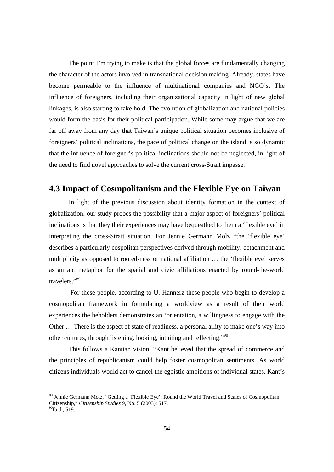The point I'm trying to make is that the global forces are fundamentally changing the character of the actors involved in transnational decision making. Already, states have become permeable to the influence of multinational companies and NGO's. The influence of foreigners, including their organizational capacity in light of new global linkages, is also starting to take hold. The evolution of globalization and national policies would form the basis for their political participation. While some may argue that we are far off away from any day that Taiwan's unique political situation becomes inclusive of foreigners' political inclinations, the pace of political change on the island is so dynamic that the influence of foreigner's political inclinations should not be neglected, in light of the need to find novel approaches to solve the current cross-Strait impasse.

## **4.3 Impact of Cosmpolitanism and the Flexible Eye on Taiwan**

In light of the previous discussion about identity formation in the context of globalization, our study probes the possibility that a major aspect of foreigners' political inclinations is that they their experiences may have bequeathed to them a 'flexible eye' in interpreting the cross-Strait situation. For Jennie Germann Molz "the 'flexible eye' describes a particularly cospolitan perspectives derived through mobility, detachment and multiplicity as opposed to rooted-ness or national affiliation … the 'flexible eye' serves as an apt metaphor for the spatial and civic affiliations enacted by round-the-world travelers."89

 For these people, according to U. Hannerz these people who begin to develop a cosmopolitan framework in formulating a worldview as a result of their world experiences the beholders demonstrates an 'orientation, a willingness to engage with the Other … There is the aspect of state of readiness, a personal aility to make one's way into other cultures, through listening, looking, intuiting and reflecting."90

This follows a Kantian vision. "Kant believed that the spread of commerce and the principles of republicanism could help foster cosmopolitan sentiments. As world citizens individuals would act to cancel the egoistic ambitions of individual states. Kant's

<sup>&</sup>lt;sup>89</sup> Jennie Germann Molz, "Getting a 'Flexible Eye': Round the World Travel and Scales of Cosmopolitan Citizenship," *Citizenship Studies* 9, No. 5 (2003): 517. 90Ibid., 519.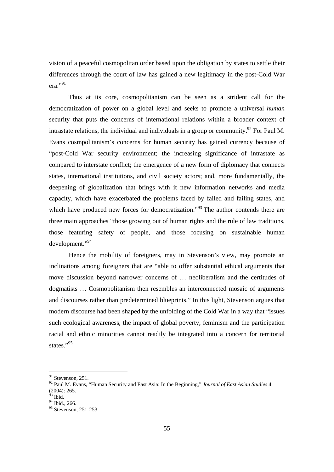vision of a peaceful cosmopolitan order based upon the obligation by states to settle their differences through the court of law has gained a new legitimacy in the post-Cold War era."91

Thus at its core, cosmopolitanism can be seen as a strident call for the democratization of power on a global level and seeks to promote a universal *human* security that puts the concerns of international relations within a broader context of intrastate relations, the individual and individuals in a group or community.<sup>92</sup> For Paul M. Evans cosmpolitanism's concerns for human security has gained currency because of "post-Cold War security environment; the increasing significance of intrastate as compared to interstate conflict; the emergence of a new form of diplomacy that connects states, international institutions, and civil society actors; and, more fundamentally, the deepening of globalization that brings with it new information networks and media capacity, which have exacerbated the problems faced by failed and failing states, and which have produced new forces for democratization."<sup>93</sup> The author contends there are three main approaches "those growing out of human rights and the rule of law traditions, those featuring safety of people, and those focusing on sustainable human development."94

Hence the mobility of foreigners, may in Stevenson's view, may promote an inclinations among foreigners that are "able to offer substantial ethical arguments that move discussion beyond narrower concerns of … neoliberalism and the certitudes of dogmatists … Cosmopolitanism then resembles an interconnected mosaic of arguments and discourses rather than predetermined blueprints." In this light, Stevenson argues that modern discourse had been shaped by the unfolding of the Cold War in a way that "issues such ecological awareness, the impact of global poverty, feminism and the participation racial and ethnic minorities cannot readily be integrated into a concern for territorial states."95

 $91$  Stevenson, 251.

<sup>92</sup> Paul M. Evans, "Human Security and East Asia: In the Beginning," *Journal of East Asian Studies* 4  $(2004): 265.$ 

 $3$  Ibid.

 $94$  Ibid., 266.

 $95$  Stevenson, 251-253.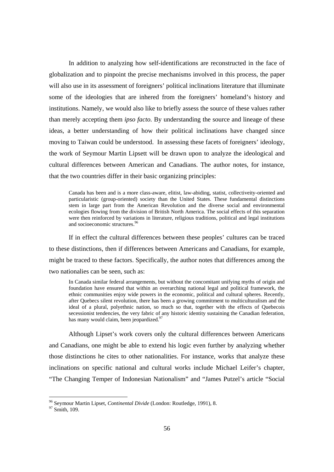In addition to analyzing how self-identifications are reconstructed in the face of globalization and to pinpoint the precise mechanisms involved in this process, the paper will also use in its assessment of foreigners' political inclinations literature that illuminate some of the ideologies that are inhered from the foreigners' homeland's history and institutions. Namely, we would also like to briefly assess the source of these values rather than merely accepting them *ipso facto.* By understanding the source and lineage of these ideas, a better understanding of how their political inclinations have changed since moving to Taiwan could be understood. In assessing these facets of foreigners' ideology, the work of Seymour Martin Lipsett will be drawn upon to analyze the ideological and cultural differences between American and Canadians. The author notes, for instance, that the two countries differ in their basic organizing principles:

Canada has been and is a more class-aware, elitist, law-abiding, statist, collectiveity-oriented and particularistic (group-oriented) society than the United States. These fundamental distinctions stem in large part from the American Revolution and the diverse social and environmental ecologies flowing from the division of British North America. The social effects of this separation were then reinforced by variations in literature, religious traditions, political and legal institutions and socioeconomic structures.<sup>96</sup>

If in effect the cultural differences between these peoples' cultures can be traced to these distinctions, then if differences between Americans and Canadians, for example, might be traced to these factors. Specifically, the author notes that differences among the two nationalies can be seen, such as:

In Canada similar federal arrangements, but without the concomitant unifying myths of origin and foundation have ensured that within an overarching national legal and political framework, the ethnic communities enjoy wide powers in the economic, political and cultural spheres. Recently, after Quebecs silent revolution, there has been a growing commitment to multiculturalism and the ideal of a plural, polyethnic nation, so much so that, together with the effects of Quebecois secessionist tendencies, the very fabric of any historic identity sustaining the Canadian federation, has many would claim, been jeopardized.<sup>97</sup>

Although Lipset's work covers only the cultural differences between Americans and Canadians, one might be able to extend his logic even further by analyzing whether those distinctions he cites to other nationalities. For instance, works that analyze these inclinations on specific national and cultural works include Michael Leifer's chapter, "The Changing Temper of Indonesian Nationalism" and "James Putzel's article "Social

<sup>&</sup>lt;sup>96</sup> Seymour Martin Lipset, *Continental Divide* (London: Routledge, 1991), 8. 97 Smith, 109.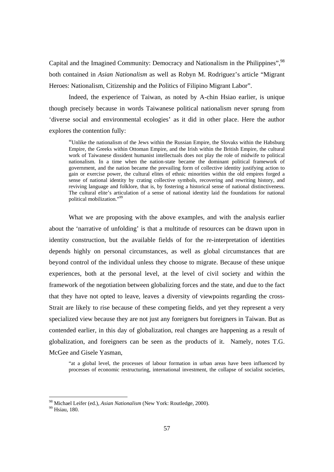Capital and the Imagined Community: Democracy and Nationalism in the Philippines",<sup>98</sup> both contained in *Asian Nationalism* as well as Robyn M. Rodriguez's article "Migrant Heroes: Nationalism, Citizenship and the Politics of Filipino Migrant Labor".

Indeed, the experience of Taiwan, as noted by A-chin Hsiao earlier, is unique though precisely because in words Taiwanese political nationalism never sprung from 'diverse social and environmental ecologies' as it did in other place. Here the author explores the contention fully:

"Unlike the nationalism of the Jews within the Russian Empire, the Slovaks within the Habsburg Empire, the Greeks within Ottoman Empire, and the Irish within the British Empire, the cultural work of Taiwanese dissident humanist intellectuals does not play the role of midwife to political nationalism. In a time when the nation-state became the dominant political framework of government, and the nation became the prevailing form of collective identity justifying action to gain or exercise power, the cultural elites of ethnic minorities within the old empires forged a sense of national identity by crating collective symbols, recovering and rewriting history, and reviving language and folklore, that is, by fostering a historical sense of national distinctiveness. The cultural elite's articulation of a sense of national identity laid the foundations for national political mobilization."99

 What we are proposing with the above examples, and with the analysis earlier about the 'narrative of unfolding' is that a multitude of resources can be drawn upon in identity construction, but the available fields of for the re-interpretation of identities depends highly on personal circumstances, as well as global circumstances that are beyond control of the individual unless they choose to migrate. Because of these unique experiences, both at the personal level, at the level of civil society and within the framework of the negotiation between globalizing forces and the state, and due to the fact that they have not opted to leave, leaves a diversity of viewpoints regarding the cross-Strait are likely to rise because of these competing fields, and yet they represent a very specialized view because they are not just any foreigners but foreigners in Taiwan. But as contended earlier, in this day of globalization, real changes are happening as a result of globalization, and foreigners can be seen as the products of it. Namely, notes T.G. McGee and Gisele Yasman,

"at a global level, the processes of labour formation in urban areas have been influenced by processes of economic restructuring, international investment, the collapse of socialist societies,

<sup>&</sup>lt;sup>98</sup> Michael Leifer (ed.), *Asian Nationalism* (New York: Routledge, 2000).<br><sup>99</sup> Hsiau, 180.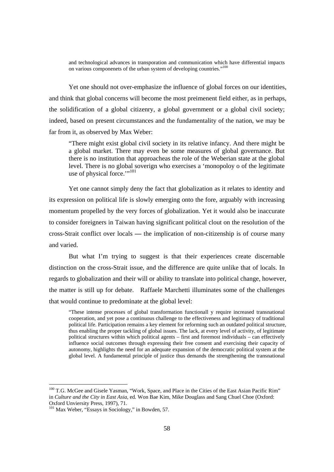and technological advances in transporation and communication which have differential impacts on various componenets of the urban system of developing countries."100

Yet one should not over-emphasize the influence of global forces on our identities, and think that global concerns will become the most preimenent field either, as in perhaps, the solidification of a global citizenry, a global government or a global civil society; indeed, based on present circumstances and the fundamentality of the nation, we may be far from it, as observed by Max Weber:

"There might exist global civil society in its relative infancy. And there might be a global market. There may even be some measures of global governance. But there is no institution that approacheas the role of the Weberian state at the global level. There is no global soverign who exercises a 'monopoloy o of the legitimate use of physical force."<sup>101</sup>

Yet one cannot simply deny the fact that globalization as it relates to identity and its expression on political life is slowly emerging onto the fore, arguably with increasing momentum propelled by the very forces of globalization. Yet it would also be inaccurate to consider foreigners in Taiwan having significant political clout on the resolution of the cross-Strait conflict over locals **—** the implication of non-citizenship is of course many and varied.

But what I'm trying to suggest is that their experiences create discernable distinction on the cross-Strait issue, and the difference are quite unlike that of locals. In regards to globalization and their will or ability to translate into political change, however, the matter is still up for debate. Raffaele Marchetti illuminates some of the challenges that would continue to predominate at the global level:

"These intense processes of global transformation functionall y require increased transnational cooperation, and yet pose a continuous challenge to the effectiveness and legitimacy of traditional political life. Participation remains a key element for reforming such an outdated political structure, thus enabling the proper tackling of global issues. The lack, at every level of activity, of legitimate political structures within which political agents – first and foremost individuals – can effectively influence social outcomes through expressing their free consent and exercising their capacity of autonomy, highlights the need for an adequate expansion of the democratic political system at the global level. A fundamental principle of justice thus demands the strengthening the transnational

<sup>&</sup>lt;sup>100</sup> T.G. McGee and Gisele Yasman, "Work, Space, and Place in the Cities of the East Asian Pacific Rim" in *Culture and the City in East Asia*, ed*.* Won Bae Kim, Mike Douglass and Sang Chuel Choe (Oxford: Oxford Unviersity Press, 1997), 71.

<sup>&</sup>lt;sup>101</sup> Max Weber, "Essays in Sociology," in Bowden, 57.